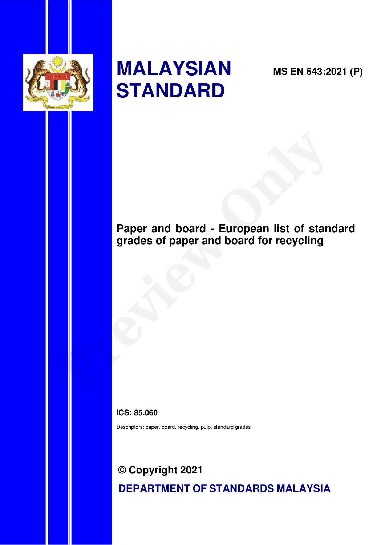

# **MALAYSIAN STANDARD**

**MS EN 643:2021 (P)** 

# **Paper and board - European list of standard grades of paper and board for recycling Paper and board - European list of standard grades of paper and board for recycling**

**ICS: 85.060** 

Descriptors: paper, board, recycling, pulp, standard grades

# **© Copyright 2021 DEPARTMENT OF STANDARDS MALAYSIA**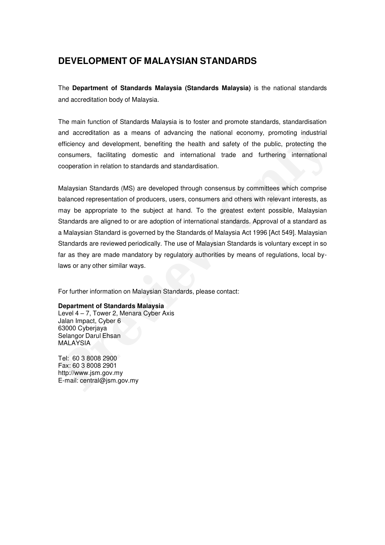# **DEVELOPMENT OF MALAYSIAN STANDARDS**

The **Department of Standards Malaysia (Standards Malaysia)** is the national standards and accreditation body of Malaysia.

The main function of Standards Malaysia is to foster and promote standards, standardisation and accreditation as a means of advancing the national economy, promoting industrial efficiency and development, benefiting the health and safety of the public, protecting the consumers, facilitating domestic and international trade and furthering international cooperation in relation to standards and standardisation.

Malaysian Standards (MS) are developed through consensus by committees which comprise balanced representation of producers, users, consumers and others with relevant interests, as may be appropriate to the subject at hand. To the greatest extent possible, Malaysian Standards are aligned to or are adoption of international standards. Approval of a standard as a Malaysian Standard is governed by the Standards of Malaysia Act 1996 [Act 549]. Malaysian Standards are reviewed periodically. The use of Malaysian Standards is voluntary except in so far as they are made mandatory by regulatory authorities by means of regulations, local bylaws or any other similar ways. and accreditation as a means of advancing the national economy, promoting industrial<br>efficiency and development, benefiting the health and safety of the public, protecting the<br>econsumers, facilitating domestic and internat

For further information on Malaysian Standards, please contact:

#### **Department of Standards Malaysia**

Level 4 – 7, Tower 2, Menara Cyber Axis Jalan Impact, Cyber 6 63000 Cyberjaya Selangor Darul Ehsan MALAYSIA

Tel: 60 3 8008 2900 Fax: 60 3 8008 2901 http://www.jsm.gov.my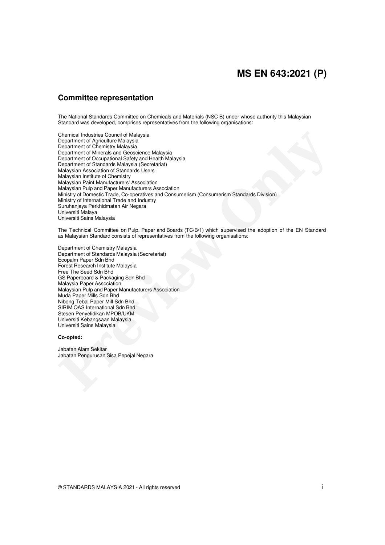# **MS EN 643:2021 (P)**

# **Committee representation**

The National Standards Committee on Chemicals and Materials (NSC B) under whose authority this Malaysian Standard was developed, comprises representatives from the following organisations:

Chemical Industries Council of Malaysia Department of Agriculture Malaysia Department of Chemistry Malaysia Department of Minerals and Geoscience Malaysia Department of Occupational Safety and Health Malaysia Department of Standards Malaysia (Secretariat) Malaysian Association of Standards Users Malaysian Institute of Chemistry Malaysian Paint Manufacturers' Association Malaysian Pulp and Paper Manufacturers Association Ministry of Domestic Trade, Co-operatives and Consumerism (Consumerism Standards Division) Ministry of International Trade and Industry Suruhanjaya Perkhidmatan Air Negara Universiti Malaya Universiti Sains Malaysia Chemical Industries Council of Malaysia<br>Department of Apendanty Malaysia<br>Department of Chemical Youth and Savaya<br>Department of Norostal and Savaya (Secretarist)<br>Department of Standards Malaysia Recenterist)<br>Malaysian Assoc

The Technical Committee on Pulp, Paper and Boards (TC/B/1) which supervised the adoption of the EN Standard as Malaysian Standard consists of representatives from the following organisations:

Department of Chemistry Malaysia Department of Standards Malaysia (Secretariat) Ecopalm Paper Sdn Bhd Forest Research Institute Malaysia Free The Seed Sdn Bhd GS Paperboard & Packaging Sdn Bhd Malaysia Paper Association Malaysian Pulp and Paper Manufacturers Association Muda Paper Mills Sdn Bhd Nibong Tebal Paper Mill Sdn Bhd SIRIM QAS International Sdn Bhd Stesen Penyelidikan MPOB/UKM Universiti Kebangsaan Malaysia Universiti Sains Malaysia

#### **Co-opted:**

Jabatan Alam Sekitar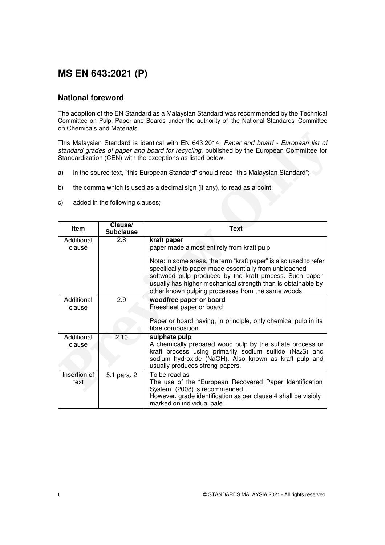# **MS EN 643:2021 (P)**

# **National foreword**

The adoption of the EN Standard as a Malaysian Standard was recommended by the Technical Committee on Pulp, Paper and Boards under the authority of the National Standards Committee on Chemicals and Materials.

- a) in the source text, "this European Standard" should read "this Malaysian Standard";
- b) the comma which is used as a decimal sign (if any), to read as a point;
- c) added in the following clauses;

|                      |                                 | This Malaysian Standard is identical with EN 643:2014, Paper and board - European list of<br>standard grades of paper and board for recycling, published by the European Committee for<br>Standardization (CEN) with the exceptions as listed below.                                                                                                                      |
|----------------------|---------------------------------|---------------------------------------------------------------------------------------------------------------------------------------------------------------------------------------------------------------------------------------------------------------------------------------------------------------------------------------------------------------------------|
| a)                   |                                 | in the source text, "this European Standard" should read "this Malaysian Standard";                                                                                                                                                                                                                                                                                       |
| b)                   |                                 | the comma which is used as a decimal sign (if any), to read as a point;                                                                                                                                                                                                                                                                                                   |
| C)                   | added in the following clauses; |                                                                                                                                                                                                                                                                                                                                                                           |
| <b>Item</b>          | Clause/<br><b>Subclause</b>     | <b>Text</b>                                                                                                                                                                                                                                                                                                                                                               |
| Additional<br>clause | 2.8                             | kraft paper<br>paper made almost entirely from kraft pulp<br>Note: in some areas, the term "kraft paper" is also used to refer<br>specifically to paper made essentially from unbleached<br>softwood pulp produced by the kraft process. Such paper<br>usually has higher mechanical strength than is obtainable by<br>other known pulping processes from the same woods. |
| Additional<br>clause | 2.9                             | woodfree paper or board<br>Freesheet paper or board<br>Paper or board having, in principle, only chemical pulp in its<br>fibre composition.                                                                                                                                                                                                                               |
| Additional<br>clause | 2.10                            | sulphate pulp<br>A chemically prepared wood pulp by the sulfate process or<br>kraft process using primarily sodium sulfide (Na2S) and<br>sodium hydroxide (NaOH). Also known as kraft pulp and<br>usually produces strong papers.                                                                                                                                         |
| Insertion of<br>text | 5.1 para. 2                     | To be read as<br>The use of the "European Recovered Paper Identification<br>System" (2008) is recommended.<br>However, grade identification as per clause 4 shall be visibly<br>marked on individual bale.                                                                                                                                                                |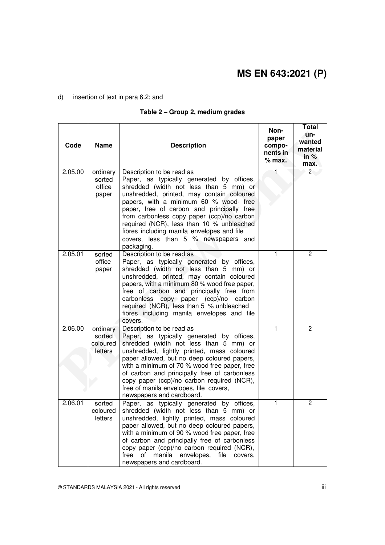#### d) insertion of text in para 6.2; and

### **Table 2 – Group 2, medium grades**

| Code    | <b>Name</b>                               | <b>Description</b>                                                                                                                                                                                                                                                                                                                                                                                                                                   | Non-<br>paper<br>compo-<br>nents in<br>$%$ max. | <b>Total</b><br>un-<br>wanted<br>material<br>in $%$<br>max. |
|---------|-------------------------------------------|------------------------------------------------------------------------------------------------------------------------------------------------------------------------------------------------------------------------------------------------------------------------------------------------------------------------------------------------------------------------------------------------------------------------------------------------------|-------------------------------------------------|-------------------------------------------------------------|
| 2.05.00 | ordinary<br>sorted<br>office<br>paper     | Description to be read as<br>Paper, as typically generated by offices,<br>shredded (width not less than 5 mm) or<br>unshredded, printed, may contain coloured<br>papers, with a minimum 60 % wood- free<br>paper, free of carbon and principally free<br>from carbonless copy paper (ccp)/no carbon<br>required (NCR), less than 10 % unbleached<br>fibres including manila envelopes and file<br>covers, less than 5 % newspapers and<br>packaging. |                                                 | $\overline{2}$                                              |
| 2.05.01 | sorted<br>office<br>paper                 | Description to be read as<br>Paper, as typically generated by offices,<br>shredded (width not less than 5 mm) or<br>unshredded, printed, may contain coloured<br>papers, with a minimum 80 % wood free paper,<br>free of carbon and principally free from<br>carbonless copy paper (ccp)/no carbon<br>required (NCR), less than 5 % unbleached<br>fibres including manila envelopes and file<br>covers.                                              | 1                                               | $\overline{2}$                                              |
| 2.06.00 | ordinary<br>sorted<br>coloured<br>letters | Description to be read as<br>Paper, as typically generated by offices,<br>shredded (width not less than 5 mm) or<br>unshredded, lightly printed, mass coloured<br>paper allowed, but no deep coloured papers,<br>with a minimum of 70 % wood free paper, free<br>of carbon and principally free of carbonless<br>copy paper (ccp)/no carbon required (NCR),<br>free of manila envelopes, file covers,<br>newspapers and cardboard.                   | 1                                               | $\overline{2}$                                              |
| 2.06.01 | sorted<br>coloured<br>letters             | Paper, as typically generated by offices,<br>shredded (width not less than 5 mm) or<br>unshredded, lightly printed, mass coloured<br>paper allowed, but no deep coloured papers,<br>with a minimum of 90 % wood free paper, free<br>of carbon and principally free of carbonless<br>copy paper (ccp)/no carbon required (NCR),<br>envelopes, file<br>free<br>of<br>manila<br>covers.<br>newspapers and cardboard.                                    | 1                                               | $\overline{c}$                                              |